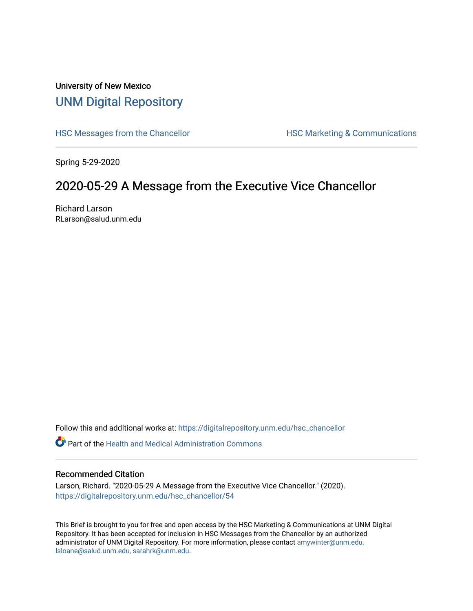# University of New Mexico [UNM Digital Repository](https://digitalrepository.unm.edu/)

[HSC Messages from the Chancellor](https://digitalrepository.unm.edu/hsc_chancellor) **HSC Marketing & Communications** 

Spring 5-29-2020

# 2020-05-29 A Message from the Executive Vice Chancellor

Richard Larson RLarson@salud.unm.edu

Follow this and additional works at: [https://digitalrepository.unm.edu/hsc\\_chancellor](https://digitalrepository.unm.edu/hsc_chancellor?utm_source=digitalrepository.unm.edu%2Fhsc_chancellor%2F54&utm_medium=PDF&utm_campaign=PDFCoverPages) 

 $\bullet$  Part of the [Health and Medical Administration Commons](http://network.bepress.com/hgg/discipline/663?utm_source=digitalrepository.unm.edu%2Fhsc_chancellor%2F54&utm_medium=PDF&utm_campaign=PDFCoverPages)

#### Recommended Citation

Larson, Richard. "2020-05-29 A Message from the Executive Vice Chancellor." (2020). [https://digitalrepository.unm.edu/hsc\\_chancellor/54](https://digitalrepository.unm.edu/hsc_chancellor/54?utm_source=digitalrepository.unm.edu%2Fhsc_chancellor%2F54&utm_medium=PDF&utm_campaign=PDFCoverPages)

This Brief is brought to you for free and open access by the HSC Marketing & Communications at UNM Digital Repository. It has been accepted for inclusion in HSC Messages from the Chancellor by an authorized administrator of UNM Digital Repository. For more information, please contact [amywinter@unm.edu,](mailto:amywinter@unm.edu,%20lsloane@salud.unm.edu,%20sarahrk@unm.edu) [lsloane@salud.unm.edu, sarahrk@unm.edu.](mailto:amywinter@unm.edu,%20lsloane@salud.unm.edu,%20sarahrk@unm.edu)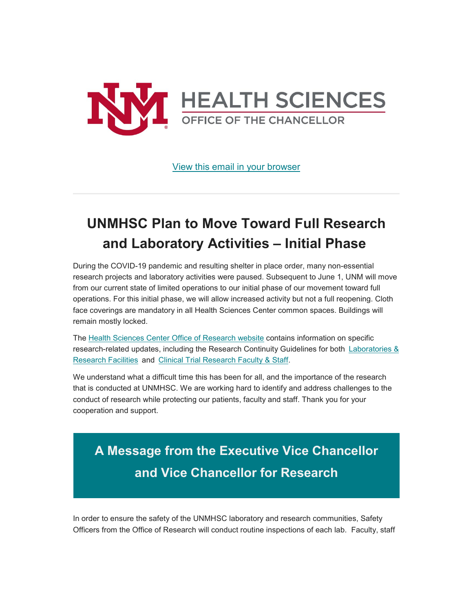

[View this email in your browser](https://mailchi.mp/26d3bcd2dfd4/message-from-the-chancellor-coronavirus-4425720?e=b4bbfca2c0)

# **UNMHSC Plan to Move Toward Full Research and Laboratory Activities – Initial Phase**

During the COVID-19 pandemic and resulting shelter in place order, many non-essential research projects and laboratory activities were paused. Subsequent to June 1, UNM will move from our current state of limited operations to our initial phase of our movement toward full operations. For this initial phase, we will allow increased activity but not a full reopening. Cloth face coverings are mandatory in all Health Sciences Center common spaces. Buildings will remain mostly locked.

The [Health Sciences Center Office of Research website](https://unm.us19.list-manage.com/track/click?u=59ce53c1a4dedb490bac78648&id=7af53e01da&e=b4bbfca2c0) contains information on specific research-related updates, including the Research Continuity Guidelines for both [Laboratories &](https://unm.us19.list-manage.com/track/click?u=59ce53c1a4dedb490bac78648&id=57ac43a970&e=b4bbfca2c0)  [Research Facilities](https://unm.us19.list-manage.com/track/click?u=59ce53c1a4dedb490bac78648&id=57ac43a970&e=b4bbfca2c0) and [Clinical Trial Research Faculty & Staff.](https://unm.us19.list-manage.com/track/click?u=59ce53c1a4dedb490bac78648&id=95f5975810&e=b4bbfca2c0)

We understand what a difficult time this has been for all, and the importance of the research that is conducted at UNMHSC. We are working hard to identify and address challenges to the conduct of research while protecting our patients, faculty and staff. Thank you for your cooperation and support.

**A Message from the Executive Vice Chancellor and Vice Chancellor for Research**

In order to ensure the safety of the UNMHSC laboratory and research communities, Safety Officers from the Office of Research will conduct routine inspections of each lab. Faculty, staff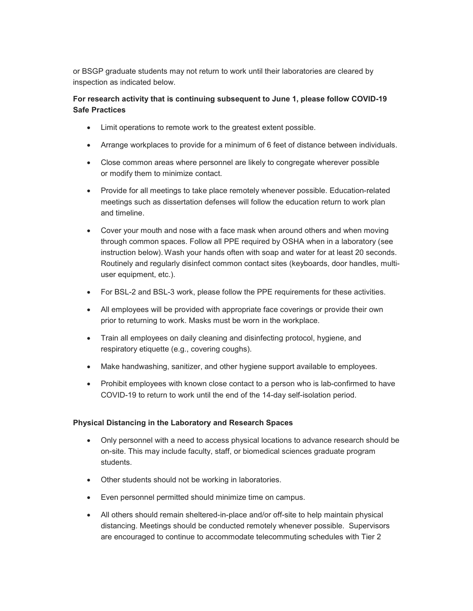or BSGP graduate students may not return to work until their laboratories are cleared by inspection as indicated below.

# **For research activity that is continuing subsequent to June 1, please follow COVID-19 Safe Practices**

- Limit operations to remote work to the greatest extent possible.
- Arrange workplaces to provide for a minimum of 6 feet of distance between individuals.
- Close common areas where personnel are likely to congregate wherever possible or modify them to minimize contact.
- Provide for all meetings to take place remotely whenever possible. Education-related meetings such as dissertation defenses will follow the education return to work plan and timeline.
- Cover your mouth and nose with a face mask when around others and when moving through common spaces. Follow all PPE required by OSHA when in a laboratory (see instruction below). Wash your hands often with soap and water for at least 20 seconds. Routinely and regularly disinfect common contact sites (keyboards, door handles, multiuser equipment, etc.).
- For BSL-2 and BSL-3 work, please follow the PPE requirements for these activities.
- All employees will be provided with appropriate face coverings or provide their own prior to returning to work. Masks must be worn in the workplace.
- Train all employees on daily cleaning and disinfecting protocol, hygiene, and respiratory etiquette (e.g., covering coughs).
- Make handwashing, sanitizer, and other hygiene support available to employees.
- Prohibit employees with known close contact to a person who is lab-confirmed to have COVID-19 to return to work until the end of the 14-day self-isolation period.

## **Physical Distancing in the Laboratory and Research Spaces**

- Only personnel with a need to access physical locations to advance research should be on-site. This may include faculty, staff, or biomedical sciences graduate program students.
- Other students should not be working in laboratories.
- Even personnel permitted should minimize time on campus.
- All others should remain sheltered-in-place and/or off-site to help maintain physical distancing. Meetings should be conducted remotely whenever possible. Supervisors are encouraged to continue to accommodate telecommuting schedules with Tier 2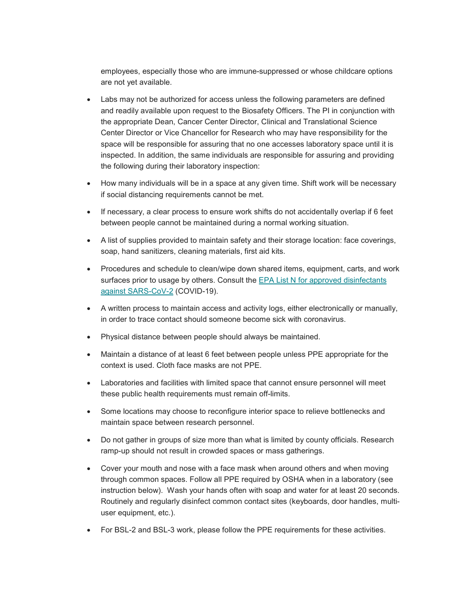employees, especially those who are immune-suppressed or whose childcare options are not yet available.

- Labs may not be authorized for access unless the following parameters are defined and readily available upon request to the Biosafety Officers. The PI in conjunction with the appropriate Dean, Cancer Center Director, Clinical and Translational Science Center Director or Vice Chancellor for Research who may have responsibility for the space will be responsible for assuring that no one accesses laboratory space until it is inspected. In addition, the same individuals are responsible for assuring and providing the following during their laboratory inspection:
- How many individuals will be in a space at any given time. Shift work will be necessary if social distancing requirements cannot be met.
- If necessary, a clear process to ensure work shifts do not accidentally overlap if 6 feet between people cannot be maintained during a normal working situation.
- A list of supplies provided to maintain safety and their storage location: face coverings, soap, hand sanitizers, cleaning materials, first aid kits.
- Procedures and schedule to clean/wipe down shared items, equipment, carts, and work surfaces prior to usage by others. Consult the EPA List N for approved disinfectants [against SARS-CoV-](https://unm.us19.list-manage.com/track/click?u=59ce53c1a4dedb490bac78648&id=fb62762b53&e=b4bbfca2c0)2 (COVID-19).
- A written process to maintain access and activity logs, either electronically or manually, in order to trace contact should someone become sick with coronavirus.
- Physical distance between people should always be maintained.
- Maintain a distance of at least 6 feet between people unless PPE appropriate for the context is used. Cloth face masks are not PPE.
- Laboratories and facilities with limited space that cannot ensure personnel will meet these public health requirements must remain off-limits.
- Some locations may choose to reconfigure interior space to relieve bottlenecks and maintain space between research personnel.
- Do not gather in groups of size more than what is limited by county officials. Research ramp-up should not result in crowded spaces or mass gatherings.
- Cover your mouth and nose with a face mask when around others and when moving through common spaces. Follow all PPE required by OSHA when in a laboratory (see instruction below). Wash your hands often with soap and water for at least 20 seconds. Routinely and regularly disinfect common contact sites (keyboards, door handles, multiuser equipment, etc.).
- For BSL-2 and BSL-3 work, please follow the PPE requirements for these activities.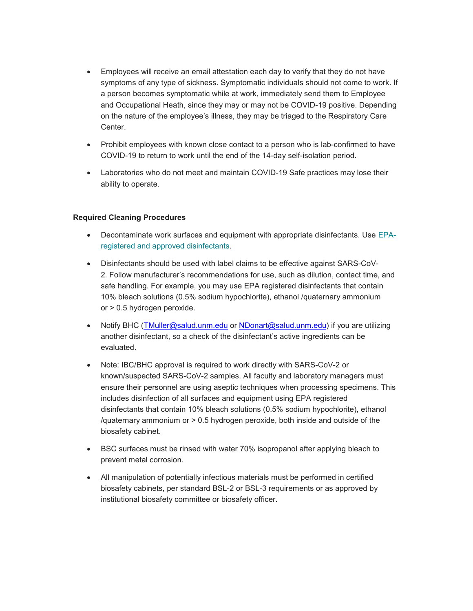- Employees will receive an email attestation each day to verify that they do not have symptoms of any type of sickness. Symptomatic individuals should not come to work. If a person becomes symptomatic while at work, immediately send them to Employee and Occupational Heath, since they may or may not be COVID-19 positive. Depending on the nature of the employee's illness, they may be triaged to the Respiratory Care Center.
- Prohibit employees with known close contact to a person who is lab-confirmed to have COVID-19 to return to work until the end of the 14-day self-isolation period.
- Laboratories who do not meet and maintain COVID-19 Safe practices may lose their ability to operate.

#### **Required Cleaning Procedures**

- Decontaminate work surfaces and equipment with appropriate disinfectants. Use [EPA](https://unm.us19.list-manage.com/track/click?u=59ce53c1a4dedb490bac78648&id=e7189eff08&e=b4bbfca2c0)[registered and approved disinfectants.](https://unm.us19.list-manage.com/track/click?u=59ce53c1a4dedb490bac78648&id=e7189eff08&e=b4bbfca2c0)
- Disinfectants should be used with label claims to be effective against SARS-CoV-2. Follow manufacturer's recommendations for use, such as dilution, contact time, and safe handling. For example, you may use EPA registered disinfectants that contain 10% bleach solutions (0.5% sodium hypochlorite), ethanol /quaternary ammonium or > 0.5 hydrogen peroxide.
- Notify BHC [\(TMuller@salud.unm.edu](mailto:TMuller@salud.unm.edu) or [NDonart@salud.unm.edu\)](mailto:NDonart@salud.unm.edu) if you are utilizing another disinfectant, so a check of the disinfectant's active ingredients can be evaluated.
- Note: IBC/BHC approval is required to work directly with SARS-CoV-2 or known/suspected SARS-CoV-2 samples. All faculty and laboratory managers must ensure their personnel are using aseptic techniques when processing specimens. This includes disinfection of all surfaces and equipment using EPA registered disinfectants that contain 10% bleach solutions (0.5% sodium hypochlorite), ethanol /quaternary ammonium or > 0.5 hydrogen peroxide, both inside and outside of the biosafety cabinet.
- BSC surfaces must be rinsed with water 70% isopropanol after applying bleach to prevent metal corrosion.
- All manipulation of potentially infectious materials must be performed in certified biosafety cabinets, per standard BSL-2 or BSL-3 requirements or as approved by institutional biosafety committee or biosafety officer.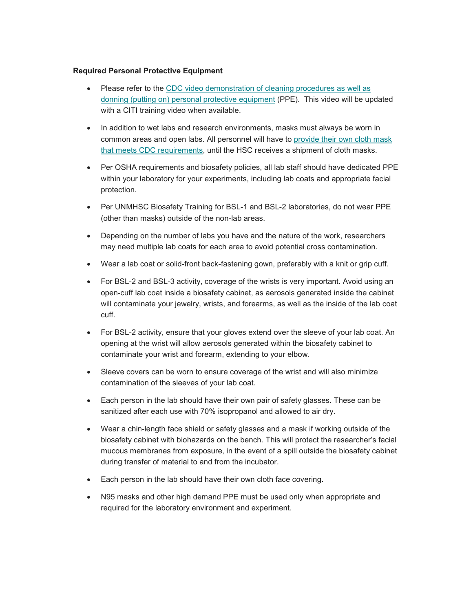#### **Required Personal Protective Equipment**

- Please refer to the CDC video demonstration of cleaning procedures as well as [donning \(putting on\) personal protective equipment](https://unm.us19.list-manage.com/track/click?u=59ce53c1a4dedb490bac78648&id=af920aee09&e=b4bbfca2c0) (PPE). This video will be updated with a CITI training video when available.
- In addition to wet labs and research environments, masks must always be worn in common areas and open labs. All personnel will have to [provide their own cloth mask](https://unm.us19.list-manage.com/track/click?u=59ce53c1a4dedb490bac78648&id=af07c93451&e=b4bbfca2c0)  [that meets CDC requirements,](https://unm.us19.list-manage.com/track/click?u=59ce53c1a4dedb490bac78648&id=af07c93451&e=b4bbfca2c0) until the HSC receives a shipment of cloth masks.
- Per OSHA requirements and biosafety policies, all lab staff should have dedicated PPE within your laboratory for your experiments, including lab coats and appropriate facial protection.
- Per UNMHSC Biosafety Training for BSL-1 and BSL-2 laboratories, do not wear PPE (other than masks) outside of the non-lab areas.
- Depending on the number of labs you have and the nature of the work, researchers may need multiple lab coats for each area to avoid potential cross contamination.
- Wear a lab coat or solid-front back-fastening gown, preferably with a knit or grip cuff.
- For BSL-2 and BSL-3 activity, coverage of the wrists is very important. Avoid using an open-cuff lab coat inside a biosafety cabinet, as aerosols generated inside the cabinet will contaminate your jewelry, wrists, and forearms, as well as the inside of the lab coat cuff.
- For BSL-2 activity, ensure that your gloves extend over the sleeve of your lab coat. An opening at the wrist will allow aerosols generated within the biosafety cabinet to contaminate your wrist and forearm, extending to your elbow.
- Sleeve covers can be worn to ensure coverage of the wrist and will also minimize contamination of the sleeves of your lab coat.
- Each person in the lab should have their own pair of safety glasses. These can be sanitized after each use with 70% isopropanol and allowed to air dry.
- Wear a chin-length face shield or safety glasses and a mask if working outside of the biosafety cabinet with biohazards on the bench. This will protect the researcher's facial mucous membranes from exposure, in the event of a spill outside the biosafety cabinet during transfer of material to and from the incubator.
- Each person in the lab should have their own cloth face covering.
- N95 masks and other high demand PPE must be used only when appropriate and required for the laboratory environment and experiment.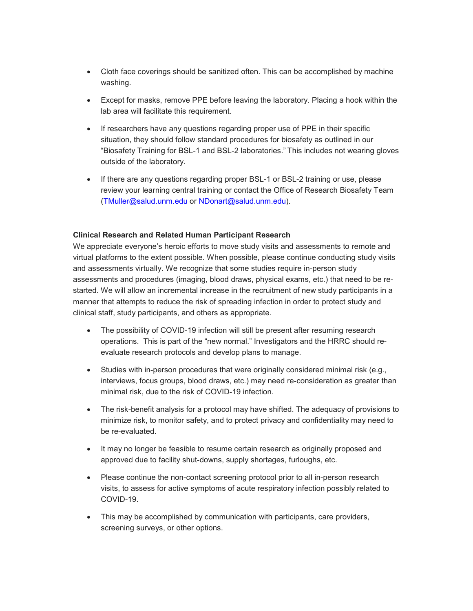- Cloth face coverings should be sanitized often. This can be accomplished by machine washing.
- Except for masks, remove PPE before leaving the laboratory. Placing a hook within the lab area will facilitate this requirement.
- If researchers have any questions regarding proper use of PPE in their specific situation, they should follow standard procedures for biosafety as outlined in our "Biosafety Training for BSL-1 and BSL-2 laboratories." This includes not wearing gloves outside of the laboratory.
- If there are any questions regarding proper BSL-1 or BSL-2 training or use, please review your learning central training or contact the Office of Research Biosafety Team [\(TMuller@salud.unm.edu](mailto:TMuller@salud.unm.edu) or [NDonart@salud.unm.edu\)](mailto:NDonart@salud.unm.edu).

#### **Clinical Research and Related Human Participant Research**

We appreciate everyone's heroic efforts to move study visits and assessments to remote and virtual platforms to the extent possible. When possible, please continue conducting study visits and assessments virtually. We recognize that some studies require in-person study assessments and procedures (imaging, blood draws, physical exams, etc.) that need to be restarted. We will allow an incremental increase in the recruitment of new study participants in a manner that attempts to reduce the risk of spreading infection in order to protect study and clinical staff, study participants, and others as appropriate.

- The possibility of COVID-19 infection will still be present after resuming research operations. This is part of the "new normal." Investigators and the HRRC should reevaluate research protocols and develop plans to manage.
- Studies with in-person procedures that were originally considered minimal risk (e.g., interviews, focus groups, blood draws, etc.) may need re-consideration as greater than minimal risk, due to the risk of COVID-19 infection.
- The risk-benefit analysis for a protocol may have shifted. The adequacy of provisions to minimize risk, to monitor safety, and to protect privacy and confidentiality may need to be re-evaluated.
- It may no longer be feasible to resume certain research as originally proposed and approved due to facility shut-downs, supply shortages, furloughs, etc.
- Please continue the non-contact screening protocol prior to all in-person research visits, to assess for active symptoms of acute respiratory infection possibly related to COVID-19.
- This may be accomplished by communication with participants, care providers, screening surveys, or other options.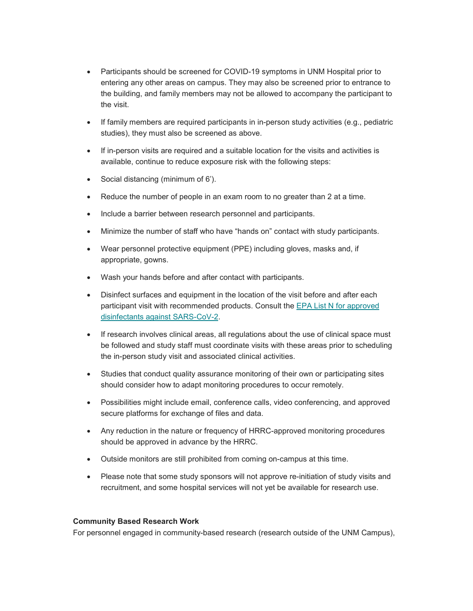- Participants should be screened for COVID-19 symptoms in UNM Hospital prior to entering any other areas on campus. They may also be screened prior to entrance to the building, and family members may not be allowed to accompany the participant to the visit.
- If family members are required participants in in-person study activities (e.g., pediatric studies), they must also be screened as above.
- If in-person visits are required and a suitable location for the visits and activities is available, continue to reduce exposure risk with the following steps:
- Social distancing (minimum of 6').
- Reduce the number of people in an exam room to no greater than 2 at a time.
- Include a barrier between research personnel and participants.
- Minimize the number of staff who have "hands on" contact with study participants.
- Wear personnel protective equipment (PPE) including gloves, masks and, if appropriate, gowns.
- Wash your hands before and after contact with participants.
- Disinfect surfaces and equipment in the location of the visit before and after each participant visit with recommended products. Consult the EPA List N for approved [disinfectants against SARS-CoV-](https://unm.us19.list-manage.com/track/click?u=59ce53c1a4dedb490bac78648&id=f10f946822&e=b4bbfca2c0)2.
- If research involves clinical areas, all regulations about the use of clinical space must be followed and study staff must coordinate visits with these areas prior to scheduling the in-person study visit and associated clinical activities.
- Studies that conduct quality assurance monitoring of their own or participating sites should consider how to adapt monitoring procedures to occur remotely.
- Possibilities might include email, conference calls, video conferencing, and approved secure platforms for exchange of files and data.
- Any reduction in the nature or frequency of HRRC-approved monitoring procedures should be approved in advance by the HRRC.
- Outside monitors are still prohibited from coming on-campus at this time.
- Please note that some study sponsors will not approve re-initiation of study visits and recruitment, and some hospital services will not yet be available for research use.

## **Community Based Research Work**

For personnel engaged in community-based research (research outside of the UNM Campus),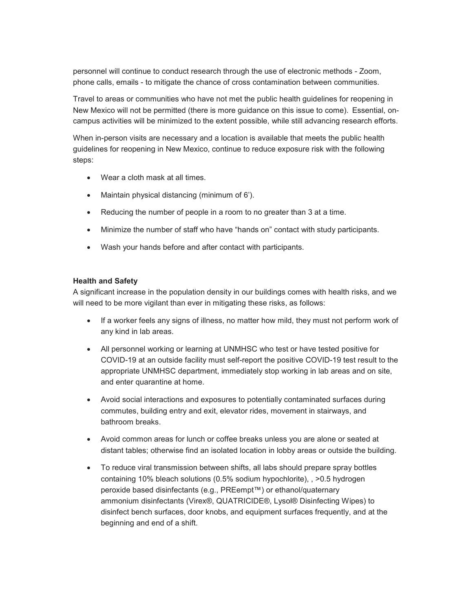personnel will continue to conduct research through the use of electronic methods - Zoom, phone calls, emails - to mitigate the chance of cross contamination between communities.

Travel to areas or communities who have not met the public health guidelines for reopening in New Mexico will not be permitted (there is more guidance on this issue to come).  Essential, oncampus activities will be minimized to the extent possible, while still advancing research efforts.

When in-person visits are necessary and a location is available that meets the public health guidelines for reopening in New Mexico, continue to reduce exposure risk with the following steps:

- Wear a cloth mask at all times.
- Maintain physical distancing (minimum of 6').
- Reducing the number of people in a room to no greater than 3 at a time.
- Minimize the number of staff who have "hands on" contact with study participants.
- Wash your hands before and after contact with participants.

#### **Health and Safety**

A significant increase in the population density in our buildings comes with health risks, and we will need to be more vigilant than ever in mitigating these risks, as follows:

- If a worker feels any signs of illness, no matter how mild, they must not perform work of any kind in lab areas.
- All personnel working or learning at UNMHSC who test or have tested positive for COVID-19 at an outside facility must self-report the positive COVID-19 test result to the appropriate UNMHSC department, immediately stop working in lab areas and on site, and enter quarantine at home.
- Avoid social interactions and exposures to potentially contaminated surfaces during commutes, building entry and exit, elevator rides, movement in stairways, and bathroom breaks.
- Avoid common areas for lunch or coffee breaks unless you are alone or seated at distant tables; otherwise find an isolated location in lobby areas or outside the building.
- To reduce viral transmission between shifts, all labs should prepare spray bottles containing 10% bleach solutions (0.5% sodium hypochlorite), , >0.5 hydrogen peroxide based disinfectants (e.g., PREempt™) or ethanol/quaternary ammonium disinfectants (Virex®, QUATRICIDE®, Lysol® Disinfecting Wipes) to disinfect bench surfaces, door knobs, and equipment surfaces frequently, and at the beginning and end of a shift.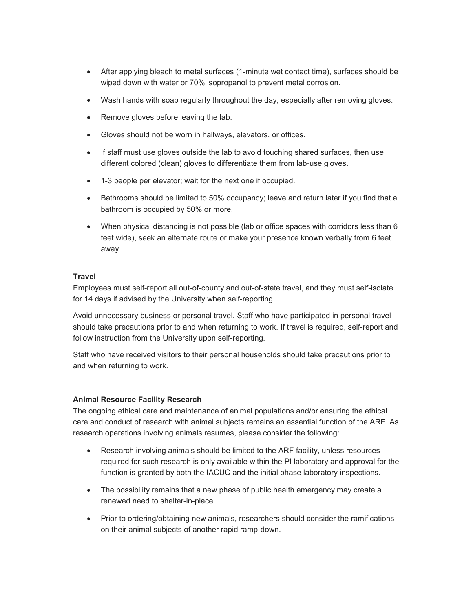- After applying bleach to metal surfaces (1-minute wet contact time), surfaces should be wiped down with water or 70% isopropanol to prevent metal corrosion.
- Wash hands with soap regularly throughout the day, especially after removing gloves.
- Remove gloves before leaving the lab.
- Gloves should not be worn in hallways, elevators, or offices.
- If staff must use gloves outside the lab to avoid touching shared surfaces, then use different colored (clean) gloves to differentiate them from lab-use gloves.
- 1-3 people per elevator; wait for the next one if occupied.
- Bathrooms should be limited to 50% occupancy; leave and return later if you find that a bathroom is occupied by 50% or more.
- When physical distancing is not possible (lab or office spaces with corridors less than 6 feet wide), seek an alternate route or make your presence known verbally from 6 feet away.

#### **Travel**

Employees must self-report all out-of-county and out-of-state travel, and they must self-isolate for 14 days if advised by the University when self-reporting.

Avoid unnecessary business or personal travel. Staff who have participated in personal travel should take precautions prior to and when returning to work. If travel is required, self-report and follow instruction from the University upon self-reporting.

Staff who have received visitors to their personal households should take precautions prior to and when returning to work.

## **Animal Resource Facility Research**

The ongoing ethical care and maintenance of animal populations and/or ensuring the ethical care and conduct of research with animal subjects remains an essential function of the ARF. As research operations involving animals resumes, please consider the following:

- Research involving animals should be limited to the ARF facility, unless resources required for such research is only available within the PI laboratory and approval for the function is granted by both the IACUC and the initial phase laboratory inspections.
- The possibility remains that a new phase of public health emergency may create a renewed need to shelter-in-place.
- Prior to ordering/obtaining new animals, researchers should consider the ramifications on their animal subjects of another rapid ramp-down.